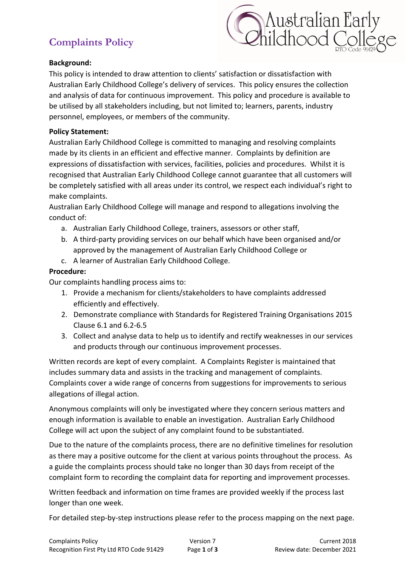# **Complaints Policy**



#### **Background:**

This policy is intended to draw attention to clients' satisfaction or dissatisfaction with Australian Early Childhood College's delivery of services. This policy ensures the collection and analysis of data for continuous improvement. This policy and procedure is available to be utilised by all stakeholders including, but not limited to; learners, parents, industry personnel, employees, or members of the community.

#### **Policy Statement:**

Australian Early Childhood College is committed to managing and resolving complaints made by its clients in an efficient and effective manner. Complaints by definition are expressions of dissatisfaction with services, facilities, policies and procedures. Whilst it is recognised that Australian Early Childhood College cannot guarantee that all customers will be completely satisfied with all areas under its control, we respect each individual's right to make complaints.

Australian Early Childhood College will manage and respond to allegations involving the conduct of:

- a. Australian Early Childhood College, trainers, assessors or other staff,
- b. A third-party providing services on our behalf which have been organised and/or approved by the management of Australian Early Childhood College or
- c. A learner of Australian Early Childhood College.

### **Procedure:**

Our complaints handling process aims to:

- 1. Provide a mechanism for clients/stakeholders to have complaints addressed efficiently and effectively.
- 2. Demonstrate compliance with Standards for Registered Training Organisations 2015 Clause 6.1 and 6.2-6.5
- 3. Collect and analyse data to help us to identify and rectify weaknesses in our services and products through our continuous improvement processes.

Written records are kept of every complaint. A Complaints Register is maintained that includes summary data and assists in the tracking and management of complaints. Complaints cover a wide range of concerns from suggestions for improvements to serious allegations of illegal action.

Anonymous complaints will only be investigated where they concern serious matters and enough information is available to enable an investigation. Australian Early Childhood College will act upon the subject of any complaint found to be substantiated.

Due to the nature of the complaints process, there are no definitive timelines for resolution as there may a positive outcome for the client at various points throughout the process. As a guide the complaints process should take no longer than 30 days from receipt of the complaint form to recording the complaint data for reporting and improvement processes.

Written feedback and information on time frames are provided weekly if the process last longer than one week.

For detailed step-by-step instructions please refer to the process mapping on the next page.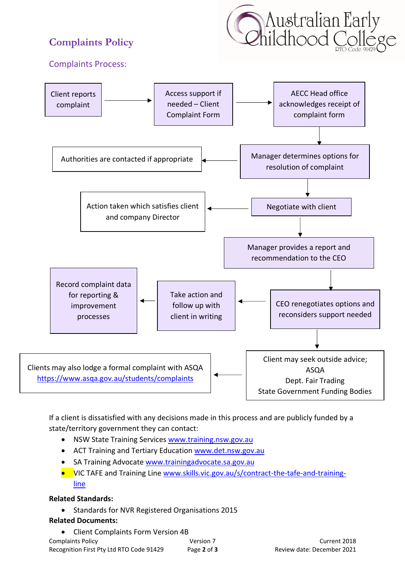# **Complaints Policy**



## Complaints Process:



If a client is dissatisfied with any decisions made in this process and are publicly funded by a state/territory government they can contact:

- NSW State Training Services www.training.nsw.gov.au
- ACT Training and Tertiary Education www.det.nsw.gov.au
- SA Training Advocate www.trainingadvocate.sa.gov.au
- VIC TAFE and Training Line www.skills.vic.gov.au/s/contract-the-tafe-and-trainingline

## **Related Standards:**

• Standards for NVR Registered Organisations 2015

## **Related Documents:**

| • Client Complaints Form Version 4B      |             |                            |
|------------------------------------------|-------------|----------------------------|
| Complaints Policy                        | Version 7   | Current 2018               |
| Recognition First Pty Ltd RTO Code 91429 | Page 2 of 3 | Review date: December 2021 |